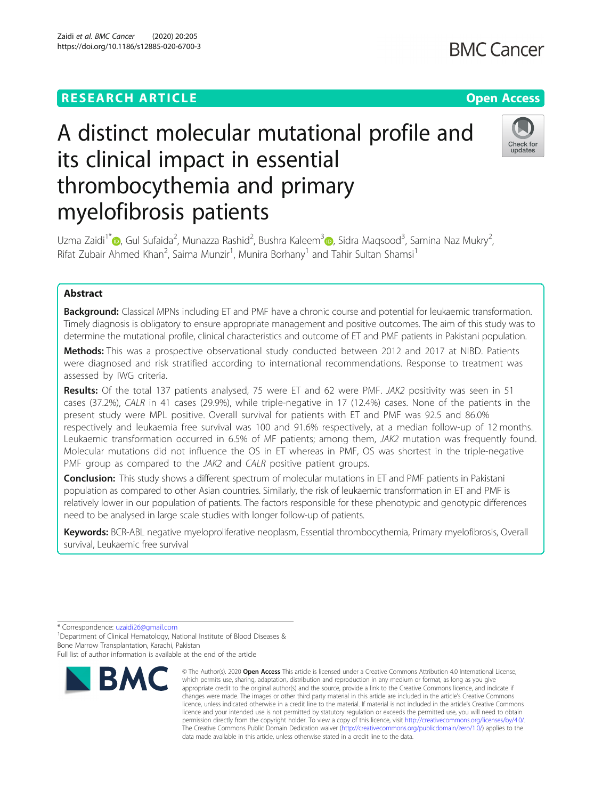## **RESEARCH ARTICLE Example 2014 12:30 The Contract of Contract ACCESS**

# A distinct molecular mutational profile and its clinical impact in essential thrombocythemia and primary myelofibrosis patients



Uzma Zaidi<sup>1\*</sup>�[,](https://orcid.org/0000-0003-3153-0672) Gul Sufaida<sup>2</sup>, Munazza Rashid<sup>2</sup>, Bushra Kaleem<sup>3</sup>�, Sidra Maqsood<sup>3</sup>, Samina Naz Mukry<sup>2</sup> , Rifat Zubair Ahmed Khan<sup>2</sup>, Saima Munzir<sup>1</sup>, Munira Borhany<sup>1</sup> and Tahir Sultan Shamsi<sup>1</sup>

### Abstract

Background: Classical MPNs including ET and PMF have a chronic course and potential for leukaemic transformation. Timely diagnosis is obligatory to ensure appropriate management and positive outcomes. The aim of this study was to determine the mutational profile, clinical characteristics and outcome of ET and PMF patients in Pakistani population.

Methods: This was a prospective observational study conducted between 2012 and 2017 at NIBD. Patients were diagnosed and risk stratified according to international recommendations. Response to treatment was assessed by IWG criteria.

Results: Of the total 137 patients analysed, 75 were ET and 62 were PMF. JAK2 positivity was seen in 51 cases (37.2%), CALR in 41 cases (29.9%), while triple-negative in 17 (12.4%) cases. None of the patients in the present study were MPL positive. Overall survival for patients with ET and PMF was 92.5 and 86.0% respectively and leukaemia free survival was 100 and 91.6% respectively, at a median follow-up of 12 months. Leukaemic transformation occurred in 6.5% of MF patients; among them, JAK2 mutation was frequently found. Molecular mutations did not influence the OS in ET whereas in PMF, OS was shortest in the triple-negative PMF group as compared to the JAK2 and CALR positive patient groups.

Conclusion: This study shows a different spectrum of molecular mutations in ET and PMF patients in Pakistani population as compared to other Asian countries. Similarly, the risk of leukaemic transformation in ET and PMF is relatively lower in our population of patients. The factors responsible for these phenotypic and genotypic differences need to be analysed in large scale studies with longer follow-up of patients.

Keywords: BCR-ABL negative myeloproliferative neoplasm, Essential thrombocythemia, Primary myelofibrosis, Overall survival, Leukaemic free survival

Full list of author information is available at the end of the article



<sup>©</sup> The Author(s), 2020 **Open Access** This article is licensed under a Creative Commons Attribution 4.0 International License, which permits use, sharing, adaptation, distribution and reproduction in any medium or format, as long as you give appropriate credit to the original author(s) and the source, provide a link to the Creative Commons licence, and indicate if changes were made. The images or other third party material in this article are included in the article's Creative Commons licence, unless indicated otherwise in a credit line to the material. If material is not included in the article's Creative Commons licence and your intended use is not permitted by statutory regulation or exceeds the permitted use, you will need to obtain permission directly from the copyright holder. To view a copy of this licence, visit [http://creativecommons.org/licenses/by/4.0/.](http://creativecommons.org/licenses/by/4.0/) The Creative Commons Public Domain Dedication waiver [\(http://creativecommons.org/publicdomain/zero/1.0/](http://creativecommons.org/publicdomain/zero/1.0/)) applies to the data made available in this article, unless otherwise stated in a credit line to the data.

<sup>\*</sup> Correspondence: [uzaidi26@gmail.com](mailto:uzaidi26@gmail.com) <sup>1</sup>

<sup>&</sup>lt;sup>1</sup> Department of Clinical Hematology, National Institute of Blood Diseases & Bone Marrow Transplantation, Karachi, Pakistan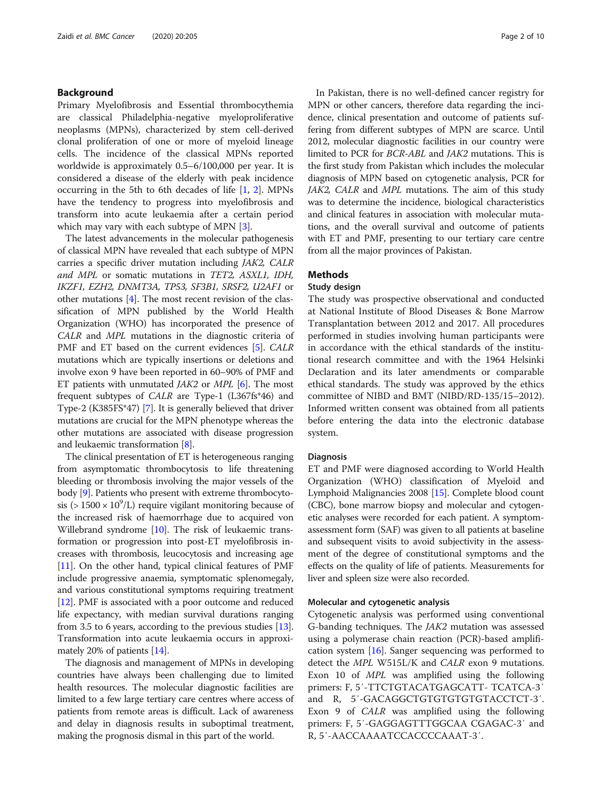#### Background

Primary Myelofibrosis and Essential thrombocythemia are classical Philadelphia-negative myeloproliferative neoplasms (MPNs), characterized by stem cell-derived clonal proliferation of one or more of myeloid lineage cells. The incidence of the classical MPNs reported worldwide is approximately 0.5–6/100,000 per year. It is considered a disease of the elderly with peak incidence occurring in the 5th to 6th decades of life [\[1,](#page-8-0) [2\]](#page-8-0). MPNs have the tendency to progress into myelofibrosis and transform into acute leukaemia after a certain period which may vary with each subtype of MPN [[3\]](#page-8-0).

The latest advancements in the molecular pathogenesis of classical MPN have revealed that each subtype of MPN carries a specific driver mutation including JAK2, CALR and MPL or somatic mutations in TET2, ASXL1, IDH, IKZF1, EZH2, DNMT3A, TP53, SF3B1, SRSF2, U2AF1 or other mutations [[4](#page-8-0)]. The most recent revision of the classification of MPN published by the World Health Organization (WHO) has incorporated the presence of CALR and MPL mutations in the diagnostic criteria of PMF and ET based on the current evidences [\[5](#page-8-0)]. CALR mutations which are typically insertions or deletions and involve exon 9 have been reported in 60–90% of PMF and ET patients with unmutated  $JAK2$  or  $MPI$  [[6](#page-8-0)]. The most frequent subtypes of CALR are Type-1 (L367fs\*46) and Type-2 (K385FS\*47) [\[7\]](#page-8-0). It is generally believed that driver mutations are crucial for the MPN phenotype whereas the other mutations are associated with disease progression and leukaemic transformation [\[8](#page-8-0)].

The clinical presentation of ET is heterogeneous ranging from asymptomatic thrombocytosis to life threatening bleeding or thrombosis involving the major vessels of the body [[9\]](#page-8-0). Patients who present with extreme thrombocytosis (>  $1500 \times 10^9$ /L) require vigilant monitoring because of the increased risk of haemorrhage due to acquired von Willebrand syndrome [[10](#page-8-0)]. The risk of leukaemic transformation or progression into post-ET myelofibrosis increases with thrombosis, leucocytosis and increasing age [[11](#page-8-0)]. On the other hand, typical clinical features of PMF include progressive anaemia, symptomatic splenomegaly, and various constitutional symptoms requiring treatment [[12](#page-8-0)]. PMF is associated with a poor outcome and reduced life expectancy, with median survival durations ranging from 3.5 to 6 years, according to the previous studies [[13](#page-8-0)]. Transformation into acute leukaemia occurs in approximately 20% of patients [[14](#page-8-0)].

The diagnosis and management of MPNs in developing countries have always been challenging due to limited health resources. The molecular diagnostic facilities are limited to a few large tertiary care centres where access of patients from remote areas is difficult. Lack of awareness and delay in diagnosis results in suboptimal treatment, making the prognosis dismal in this part of the world.

In Pakistan, there is no well-defined cancer registry for MPN or other cancers, therefore data regarding the incidence, clinical presentation and outcome of patients suffering from different subtypes of MPN are scarce. Until 2012, molecular diagnostic facilities in our country were limited to PCR for BCR-ABL and JAK2 mutations. This is the first study from Pakistan which includes the molecular diagnosis of MPN based on cytogenetic analysis, PCR for JAK2, CALR and MPL mutations. The aim of this study was to determine the incidence, biological characteristics and clinical features in association with molecular mutations, and the overall survival and outcome of patients with ET and PMF, presenting to our tertiary care centre from all the major provinces of Pakistan.

#### Methods

#### Study design

The study was prospective observational and conducted at National Institute of Blood Diseases & Bone Marrow Transplantation between 2012 and 2017. All procedures performed in studies involving human participants were in accordance with the ethical standards of the institutional research committee and with the 1964 Helsinki Declaration and its later amendments or comparable ethical standards. The study was approved by the ethics committee of NIBD and BMT (NIBD/RD-135/15–2012). Informed written consent was obtained from all patients before entering the data into the electronic database system.

#### **Diagnosis**

ET and PMF were diagnosed according to World Health Organization (WHO) classification of Myeloid and Lymphoid Malignancies 2008 [[15](#page-8-0)]. Complete blood count (CBC), bone marrow biopsy and molecular and cytogenetic analyses were recorded for each patient. A symptomassessment form (SAF) was given to all patients at baseline and subsequent visits to avoid subjectivity in the assessment of the degree of constitutional symptoms and the effects on the quality of life of patients. Measurements for liver and spleen size were also recorded.

#### Molecular and cytogenetic analysis

Cytogenetic analysis was performed using conventional G-banding techniques. The JAK2 mutation was assessed using a polymerase chain reaction (PCR)-based amplification system [\[16](#page-8-0)]. Sanger sequencing was performed to detect the MPL W515L/K and CALR exon 9 mutations. Exon 10 of MPL was amplified using the following primers: F, 5′-TTCTGTACATGAGCATT- TCATCA-3′ and R, 5′-GACAGGCTGTGTGTGTGTACCTCT-3′. Exon 9 of CALR was amplified using the following primers: F, 5′-GAGGAGTTTGGCAA CGAGAC-3′ and R, 5′-AACCAAAATCCACCCCAAAT-3′.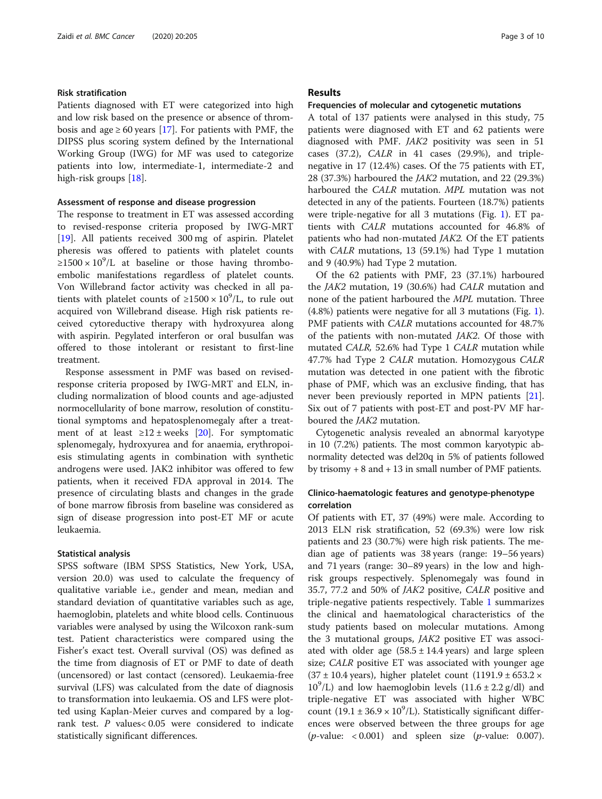#### Risk stratification

Patients diagnosed with ET were categorized into high and low risk based on the presence or absence of thrombosis and age  $\geq 60$  years [\[17](#page-8-0)]. For patients with PMF, the DIPSS plus scoring system defined by the International Working Group (IWG) for MF was used to categorize patients into low, intermediate-1, intermediate-2 and high-risk groups [[18\]](#page-8-0).

#### Assessment of response and disease progression

The response to treatment in ET was assessed according to revised-response criteria proposed by IWG-MRT [[19\]](#page-8-0). All patients received 300 mg of aspirin. Platelet pheresis was offered to patients with platelet counts  $\geq$ 1500 × 10<sup>9</sup>/L at baseline or those having thromboembolic manifestations regardless of platelet counts. Von Willebrand factor activity was checked in all patients with platelet counts of  $\geq$ 1500  $\times$  10<sup>9</sup>/L, to rule out acquired von Willebrand disease. High risk patients received cytoreductive therapy with hydroxyurea along with aspirin. Pegylated interferon or oral busulfan was offered to those intolerant or resistant to first-line treatment.

Response assessment in PMF was based on revisedresponse criteria proposed by IWG-MRT and ELN, including normalization of blood counts and age-adjusted normocellularity of bone marrow, resolution of constitutional symptoms and hepatosplenomegaly after a treatment of at least  $\geq 12 \pm \text{ weeks}$  [\[20\]](#page-8-0). For symptomatic splenomegaly, hydroxyurea and for anaemia, erythropoiesis stimulating agents in combination with synthetic androgens were used. JAK2 inhibitor was offered to few patients, when it received FDA approval in 2014. The presence of circulating blasts and changes in the grade of bone marrow fibrosis from baseline was considered as sign of disease progression into post-ET MF or acute leukaemia.

#### Statistical analysis

SPSS software (IBM SPSS Statistics, New York, USA, version 20.0) was used to calculate the frequency of qualitative variable i.e., gender and mean, median and standard deviation of quantitative variables such as age, haemoglobin, platelets and white blood cells. Continuous variables were analysed by using the Wilcoxon rank-sum test. Patient characteristics were compared using the Fisher's exact test. Overall survival (OS) was defined as the time from diagnosis of ET or PMF to date of death (uncensored) or last contact (censored). Leukaemia-free survival (LFS) was calculated from the date of diagnosis to transformation into leukaemia. OS and LFS were plotted using Kaplan-Meier curves and compared by a logrank test. P values< 0.05 were considered to indicate statistically significant differences.

#### Results

#### Frequencies of molecular and cytogenetic mutations

A total of 137 patients were analysed in this study, 75 patients were diagnosed with ET and 62 patients were diagnosed with PMF. JAK2 positivity was seen in 51 cases (37.2), CALR in 41 cases (29.9%), and triplenegative in 17 (12.4%) cases. Of the 75 patients with ET, 28 (37.3%) harboured the JAK2 mutation, and 22 (29.3%) harboured the CALR mutation. MPL mutation was not detected in any of the patients. Fourteen (18.7%) patients were triple-negative for all 3 mutations (Fig. [1](#page-3-0)). ET patients with CALR mutations accounted for 46.8% of patients who had non-mutated JAK2. Of the ET patients with CALR mutations, 13 (59.1%) had Type 1 mutation and 9 (40.9%) had Type 2 mutation.

Of the 62 patients with PMF, 23 (37.1%) harboured the JAK2 mutation, 19 (30.6%) had CALR mutation and none of the patient harboured the MPL mutation. Three (4.8%) patients were negative for all 3 mutations (Fig. [1](#page-3-0)). PMF patients with CALR mutations accounted for 48.7% of the patients with non-mutated JAK2. Of those with mutated CALR, 52.6% had Type 1 CALR mutation while 47.7% had Type 2 CALR mutation. Homozygous CALR mutation was detected in one patient with the fibrotic phase of PMF, which was an exclusive finding, that has never been previously reported in MPN patients [\[21](#page-8-0)]. Six out of 7 patients with post-ET and post-PV MF harboured the JAK2 mutation.

Cytogenetic analysis revealed an abnormal karyotype in 10 (7.2%) patients. The most common karyotypic abnormality detected was del20q in 5% of patients followed by trisomy + 8 and + 13 in small number of PMF patients.

#### Clinico-haematologic features and genotype-phenotype correlation

Of patients with ET, 37 (49%) were male. According to 2013 ELN risk stratification, 52 (69.3%) were low risk patients and 23 (30.7%) were high risk patients. The median age of patients was 38 years (range: 19–56 years) and 71 years (range: 30–89 years) in the low and highrisk groups respectively. Splenomegaly was found in 35.7, 77.2 and 50% of JAK2 positive, CALR positive and triple-negative patients respectively. Table [1](#page-3-0) summarizes the clinical and haematological characteristics of the study patients based on molecular mutations. Among the 3 mutational groups, JAK2 positive ET was associated with older age  $(58.5 \pm 14.4 \,\text{years})$  and large spleen size; CALR positive ET was associated with younger age  $(37 \pm 10.4 \text{ years})$ , higher platelet count  $(1191.9 \pm 653.2 \times$  $10^9$ /L) and low haemoglobin levels (11.6 ± 2.2 g/dl) and triple-negative ET was associated with higher WBC count (19.1 ± 36.9 ×  $10^9$ /L). Statistically significant differences were observed between the three groups for age (*p*-value:  $< 0.001$ ) and spleen size (*p*-value: 0.007).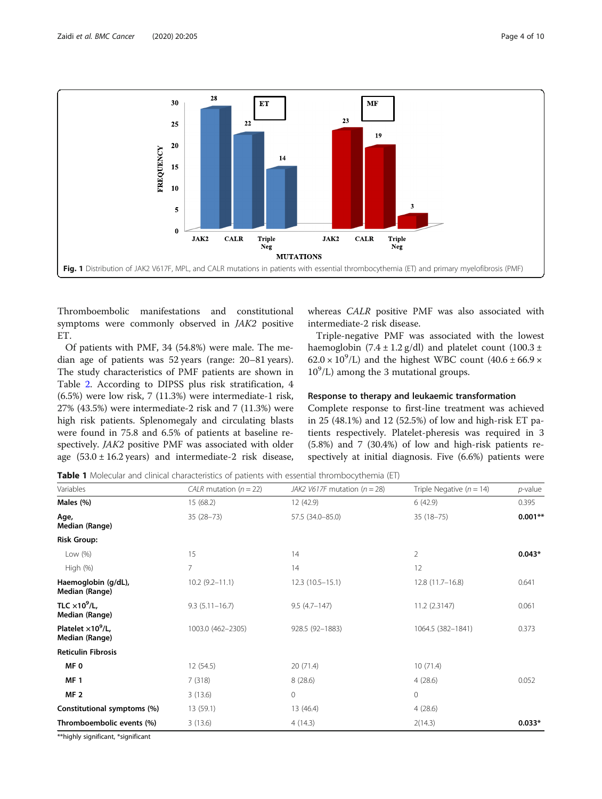<span id="page-3-0"></span>

Thromboembolic manifestations and constitutional symptoms were commonly observed in JAK2 positive ET.

Of patients with PMF, 34 (54.8%) were male. The median age of patients was 52 years (range: 20–81 years). The study characteristics of PMF patients are shown in Table [2](#page-4-0). According to DIPSS plus risk stratification, 4 (6.5%) were low risk, 7 (11.3%) were intermediate-1 risk, 27% (43.5%) were intermediate-2 risk and 7 (11.3%) were high risk patients. Splenomegaly and circulating blasts were found in 75.8 and 6.5% of patients at baseline respectively. JAK2 positive PMF was associated with older age  $(53.0 \pm 16.2 \text{ years})$  and intermediate-2 risk disease,

whereas CALR positive PMF was also associated with intermediate-2 risk disease.

Triple-negative PMF was associated with the lowest haemoglobin  $(7.4 \pm 1.2 \text{ g/d})$  and platelet count  $(100.3 \pm 1.2 \text{ g/d})$  $62.0 \times 10^9$ /L) and the highest WBC count (40.6 ± 66.9 ×  $10^9$ /L) among the 3 mutational groups.

#### Response to therapy and leukaemic transformation

Complete response to first-line treatment was achieved in 25 (48.1%) and 12 (52.5%) of low and high-risk ET patients respectively. Platelet-pheresis was required in 3 (5.8%) and 7 (30.4%) of low and high-risk patients respectively at initial diagnosis. Five (6.6%) patients were

**Table 1** Molecular and clinical characteristics of patients with essential thrombocythemia (ET)

| Variables                                          | CALR mutation $(n = 22)$ | JAK2 V617F mutation ( $n = 28$ ) | Triple Negative ( $n = 14$ ) | $p$ -value |
|----------------------------------------------------|--------------------------|----------------------------------|------------------------------|------------|
| Males (%)                                          | 15 (68.2)                | 12 (42.9)                        | 6(42.9)                      | 0.395      |
| Age,<br>Median (Range)                             | $35(28-73)$              | 57.5 (34.0-85.0)                 | $35(18-75)$                  | $0.001**$  |
| <b>Risk Group:</b>                                 |                          |                                  |                              |            |
| Low $(\%)$                                         | 15                       | 14                               | 2                            | $0.043*$   |
| High (%)                                           | $\overline{7}$           | 14                               | 12                           |            |
| Haemoglobin (g/dL),<br>Median (Range)              | $10.2 (9.2 - 11.1)$      | $12.3(10.5-15.1)$                | 12.8 (11.7-16.8)             | 0.641      |
| TLC $\times$ 10 <sup>9</sup> /L,<br>Median (Range) | $9.3(5.11 - 16.7)$       | $9.5(4.7-147)$                   | 11.2 (2.3147)                | 0.061      |
| Platelet $\times 10^9$ /L,<br>Median (Range)       | 1003.0 (462-2305)        | 928.5 (92-1883)                  | 1064.5 (382-1841)            | 0.373      |
| <b>Reticulin Fibrosis</b>                          |                          |                                  |                              |            |
| MF <sub>0</sub>                                    | 12 (54.5)                | 20 (71.4)                        | 10(71.4)                     |            |
| <b>MF1</b>                                         | 7(318)                   | 8(28.6)                          | 4(28.6)                      | 0.052      |
| MF <sub>2</sub>                                    | 3(13.6)                  | $\circ$                          | 0                            |            |
| Constitutional symptoms (%)                        | 13 (59.1)                | 13 (46.4)                        | 4(28.6)                      |            |
| Thromboembolic events (%)                          | 3(13.6)                  | 4(14.3)                          | 2(14.3)                      | $0.033*$   |

\*\*highly significant, \*significant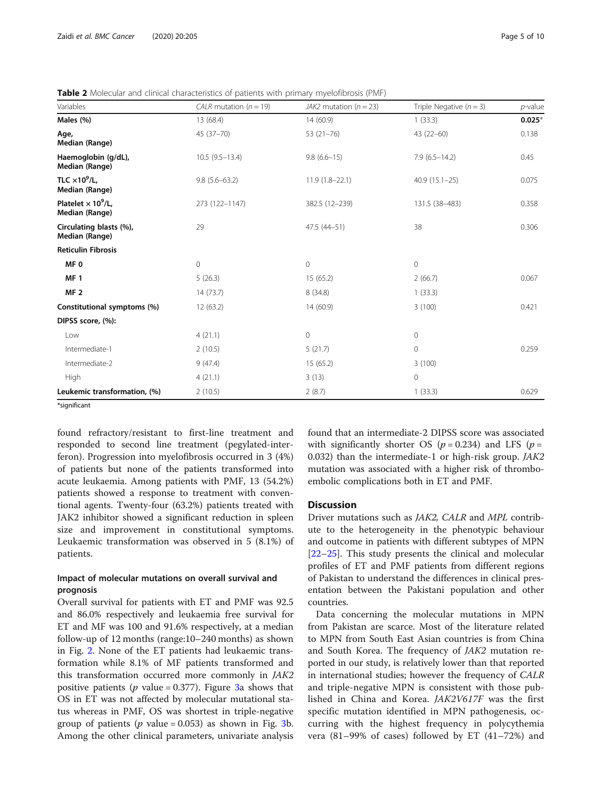<span id="page-4-0"></span>Table 2 Molecular and clinical characteristics of patients with primary myelofibrosis (PMF)

| Variables                                          | CALR mutation ( $n = 19$ ) | JAK2 mutation $(n = 23)$ | Triple Negative $(n = 3)$ | $p$ -value |
|----------------------------------------------------|----------------------------|--------------------------|---------------------------|------------|
| Males (%)                                          | 13 (68.4)                  | 14 (60.9)                | 1(33.3)                   | $0.025*$   |
| Age,<br>Median (Range)                             | 45 (37-70)                 | $53(21-76)$              | $43(22 - 60)$             | 0.138      |
| Haemoglobin (g/dL),<br>Median (Range)              | $10.5(9.5-13.4)$           | $9.8(6.6 - 15)$          | $7.9(6.5 - 14.2)$         | 0.45       |
| TLC $\times$ 10 <sup>9</sup> /L,<br>Median (Range) | $9.8(5.6 - 63.2)$          | $11.9(1.8-22.1)$         | $40.9(15.1-25)$           | 0.075      |
| Platelet $\times 10^9$ /L,<br>Median (Range)       | 273 (122-1147)             | 382.5 (12-239)           | 131.5 (38-483)            | 0.358      |
| Circulating blasts (%),<br>Median (Range)          | 29                         | 47.5 (44-51)             | 38                        | 0.306      |
| <b>Reticulin Fibrosis</b>                          |                            |                          |                           |            |
| MF <sub>0</sub>                                    | $\overline{0}$             | $\mathsf{O}\xspace$      | $\circ$                   |            |
| <b>MF1</b>                                         | 5(26.3)                    | 15(65.2)                 | 2(66.7)                   | 0.067      |
| MF <sub>2</sub>                                    | 14(73.7)                   | 8(34.8)                  | 1(33.3)                   |            |
| Constitutional symptoms (%)                        | 12(63.2)                   | 14 (60.9)                | 3(100)                    | 0.421      |
| DIPSS score, (%):                                  |                            |                          |                           |            |
| Low                                                | 4(21.1)                    | $\mathbf 0$              | $\mathsf{O}\xspace$       |            |
| Intermediate-1                                     | 2(10.5)                    | 5(21.7)                  | $\mathsf{O}\xspace$       | 0.259      |
| Intermediate-2                                     | 9(47.4)                    | 15(65.2)                 | 3(100)                    |            |
| High                                               | 4(21.1)                    | 3(13)                    | $\mathsf{O}\xspace$       |            |
| Leukemic transformation, (%)                       | 2(10.5)                    | 2(8.7)                   | 1(33.3)                   | 0.629      |

\*significant

found refractory/resistant to first-line treatment and responded to second line treatment (pegylated-interferon). Progression into myelofibrosis occurred in 3 (4%) of patients but none of the patients transformed into acute leukaemia. Among patients with PMF, 13 (54.2%) patients showed a response to treatment with conventional agents. Twenty-four (63.2%) patients treated with JAK2 inhibitor showed a significant reduction in spleen size and improvement in constitutional symptoms. Leukaemic transformation was observed in 5 (8.1%) of patients.

#### Impact of molecular mutations on overall survival and prognosis

Overall survival for patients with ET and PMF was 92.5 and 86.0% respectively and leukaemia free survival for ET and MF was 100 and 91.6% respectively, at a median follow-up of 12 months (range:10–240 months) as shown in Fig. [2](#page-5-0). None of the ET patients had leukaemic transformation while 8.1% of MF patients transformed and this transformation occurred more commonly in JAK2 positive patients ( $p$  value = 0.[3](#page-6-0)77). Figure 3a shows that OS in ET was not affected by molecular mutational status whereas in PMF, OS was shortest in triple-negative group of patients (*p* value = 0.05[3](#page-6-0)) as shown in Fig. 3b. Among the other clinical parameters, univariate analysis found that an intermediate-2 DIPSS score was associated with significantly shorter OS ( $p = 0.234$ ) and LFS ( $p =$ 0.032) than the intermediate-1 or high-risk group. JAK2 mutation was associated with a higher risk of thromboembolic complications both in ET and PMF.

#### **Discussion**

Driver mutations such as JAK2, CALR and MPL contribute to the heterogeneity in the phenotypic behaviour and outcome in patients with different subtypes of MPN [[22](#page-8-0)–[25](#page-8-0)]. This study presents the clinical and molecular profiles of ET and PMF patients from different regions of Pakistan to understand the differences in clinical presentation between the Pakistani population and other countries.

Data concerning the molecular mutations in MPN from Pakistan are scarce. Most of the literature related to MPN from South East Asian countries is from China and South Korea. The frequency of JAK2 mutation reported in our study, is relatively lower than that reported in international studies; however the frequency of CALR and triple-negative MPN is consistent with those published in China and Korea. JAK2V617F was the first specific mutation identified in MPN pathogenesis, occurring with the highest frequency in polycythemia vera (81–99% of cases) followed by ET (41–72%) and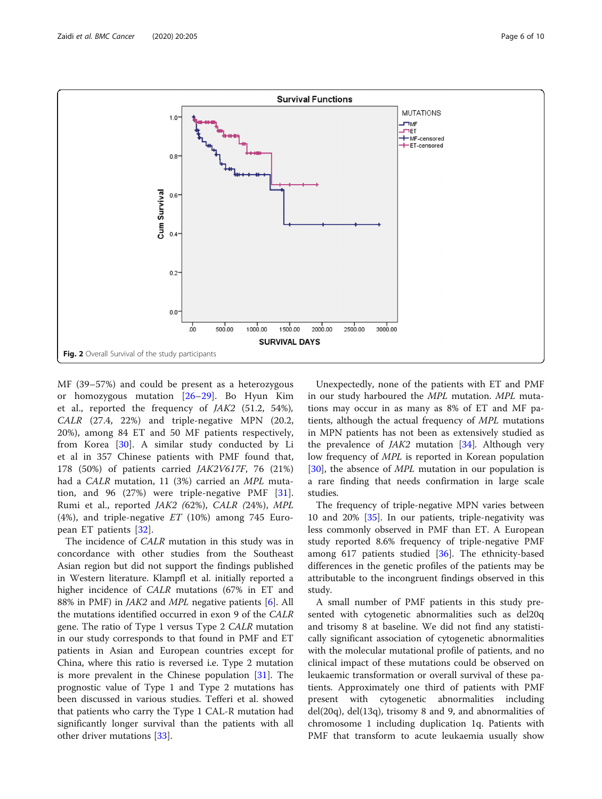<span id="page-5-0"></span>

MF (39–57%) and could be present as a heterozygous or homozygous mutation [\[26](#page-8-0)–[29](#page-8-0)]. Bo Hyun Kim et al., reported the frequency of JAK2 (51.2, 54%), CALR (27.4, 22%) and triple-negative MPN (20.2, 20%), among 84 ET and 50 MF patients respectively, from Korea [[30\]](#page-8-0). A similar study conducted by Li et al in 357 Chinese patients with PMF found that, 178 (50%) of patients carried JAK2V617F, 76 (21%) had a CALR mutation, 11 (3%) carried an MPL mutation, and 96 (27%) were triple-negative PMF [\[31](#page-8-0)]. Rumi et al., reported JAK2 (62%), CALR (24%), MPL (4%), and triple-negative  $ET$  (10%) among 745 European ET patients [[32\]](#page-8-0).

The incidence of CALR mutation in this study was in concordance with other studies from the Southeast Asian region but did not support the findings published in Western literature. Klampfl et al. initially reported a higher incidence of CALR mutations (67% in ET and 88% in PMF) in JAK2 and MPL negative patients [\[6](#page-8-0)]. All the mutations identified occurred in exon 9 of the CALR gene. The ratio of Type 1 versus Type 2 CALR mutation in our study corresponds to that found in PMF and ET patients in Asian and European countries except for China, where this ratio is reversed i.e. Type 2 mutation is more prevalent in the Chinese population [[31](#page-8-0)]. The prognostic value of Type 1 and Type 2 mutations has been discussed in various studies. Tefferi et al. showed that patients who carry the Type 1 CAL-R mutation had significantly longer survival than the patients with all other driver mutations [[33](#page-8-0)].

Unexpectedly, none of the patients with ET and PMF in our study harboured the MPL mutation. MPL mutations may occur in as many as 8% of ET and MF patients, although the actual frequency of MPL mutations in MPN patients has not been as extensively studied as the prevalence of  $IAK2$  mutation  $[34]$  $[34]$ . Although very low frequency of MPL is reported in Korean population [[30\]](#page-8-0), the absence of *MPL* mutation in our population is a rare finding that needs confirmation in large scale studies.

The frequency of triple-negative MPN varies between 10 and 20% [\[35](#page-8-0)]. In our patients, triple-negativity was less commonly observed in PMF than ET. A European study reported 8.6% frequency of triple-negative PMF among 617 patients studied [\[36](#page-8-0)]. The ethnicity-based differences in the genetic profiles of the patients may be attributable to the incongruent findings observed in this study.

A small number of PMF patients in this study presented with cytogenetic abnormalities such as del20q and trisomy 8 at baseline. We did not find any statistically significant association of cytogenetic abnormalities with the molecular mutational profile of patients, and no clinical impact of these mutations could be observed on leukaemic transformation or overall survival of these patients. Approximately one third of patients with PMF present with cytogenetic abnormalities including del(20q), del(13q), trisomy 8 and 9, and abnormalities of chromosome 1 including duplication 1q. Patients with PMF that transform to acute leukaemia usually show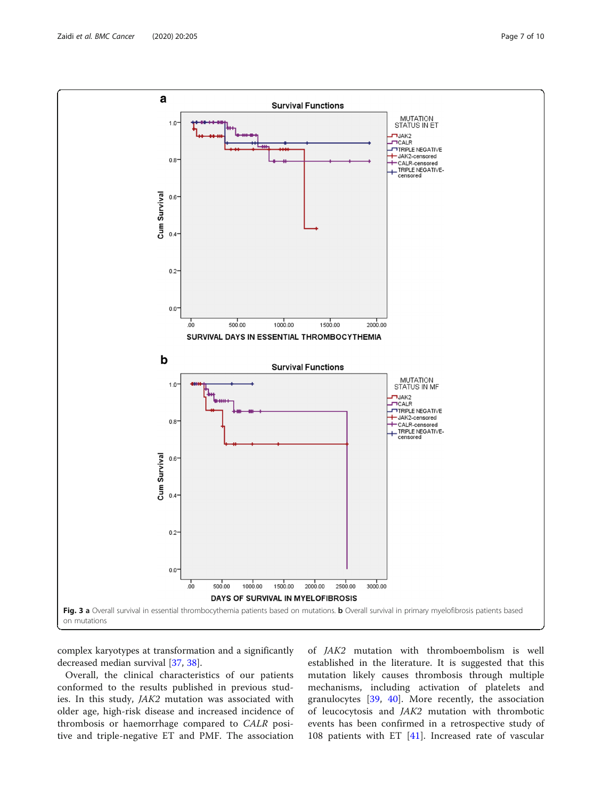<span id="page-6-0"></span>

complex karyotypes at transformation and a significantly decreased median survival [\[37,](#page-8-0) [38\]](#page-8-0).

Overall, the clinical characteristics of our patients conformed to the results published in previous studies. In this study, JAK2 mutation was associated with older age, high-risk disease and increased incidence of thrombosis or haemorrhage compared to CALR positive and triple-negative ET and PMF. The association of JAK2 mutation with thromboembolism is well established in the literature. It is suggested that this mutation likely causes thrombosis through multiple mechanisms, including activation of platelets and granulocytes [[39,](#page-8-0) [40\]](#page-9-0). More recently, the association of leucocytosis and JAK2 mutation with thrombotic events has been confirmed in a retrospective study of 108 patients with ET [[41\]](#page-9-0). Increased rate of vascular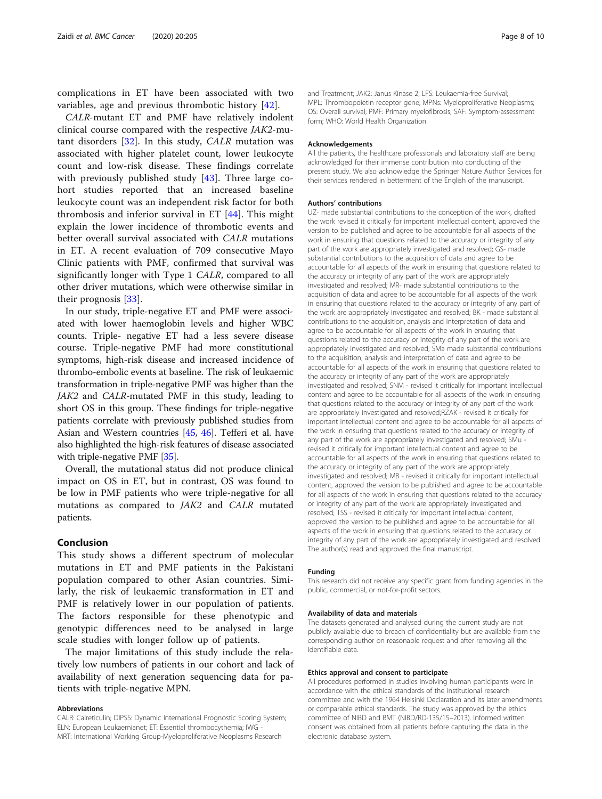complications in ET have been associated with two variables, age and previous thrombotic history [[42\]](#page-9-0).

CALR-mutant ET and PMF have relatively indolent clinical course compared with the respective JAK2-mutant disorders [\[32](#page-8-0)]. In this study, CALR mutation was associated with higher platelet count, lower leukocyte count and low-risk disease. These findings correlate with previously published study [\[43](#page-9-0)]. Three large cohort studies reported that an increased baseline leukocyte count was an independent risk factor for both thrombosis and inferior survival in ET [\[44\]](#page-9-0). This might explain the lower incidence of thrombotic events and better overall survival associated with CALR mutations in ET. A recent evaluation of 709 consecutive Mayo Clinic patients with PMF, confirmed that survival was significantly longer with Type 1 CALR, compared to all other driver mutations, which were otherwise similar in their prognosis [[33\]](#page-8-0).

In our study, triple-negative ET and PMF were associated with lower haemoglobin levels and higher WBC counts. Triple- negative ET had a less severe disease course. Triple-negative PMF had more constitutional symptoms, high-risk disease and increased incidence of thrombo-embolic events at baseline. The risk of leukaemic transformation in triple-negative PMF was higher than the JAK2 and CALR-mutated PMF in this study, leading to short OS in this group. These findings for triple-negative patients correlate with previously published studies from Asian and Western countries [[45](#page-9-0), [46\]](#page-9-0). Tefferi et al. have also highlighted the high-risk features of disease associated with triple-negative PMF [\[35\]](#page-8-0).

Overall, the mutational status did not produce clinical impact on OS in ET, but in contrast, OS was found to be low in PMF patients who were triple-negative for all mutations as compared to JAK2 and CALR mutated patients.

#### Conclusion

This study shows a different spectrum of molecular mutations in ET and PMF patients in the Pakistani population compared to other Asian countries. Similarly, the risk of leukaemic transformation in ET and PMF is relatively lower in our population of patients. The factors responsible for these phenotypic and genotypic differences need to be analysed in large scale studies with longer follow up of patients.

The major limitations of this study include the relatively low numbers of patients in our cohort and lack of availability of next generation sequencing data for patients with triple-negative MPN.

#### Abbreviations

CALR: Calreticulin; DIPSS: Dynamic International Prognostic Scoring System; ELN: European Leukaemianet; ET: Essential thrombocythemia; IWG - MRT: International Working Group-Myeloproliferative Neoplasms Research

and Treatment; JAK2: Janus Kinase 2; LFS: Leukaemia-free Survival; MPL: Thrombopoietin receptor gene; MPNs: Myeloproliferative Neoplasms; OS: Overall survival; PMF: Primary myelofibrosis; SAF: Symptom-assessment form; WHO: World Health Organization

#### Acknowledgements

All the patients, the healthcare professionals and laboratory staff are being acknowledged for their immense contribution into conducting of the present study. We also acknowledge the Springer Nature Author Services for their services rendered in betterment of the English of the manuscript.

#### Authors' contributions

UZ- made substantial contributions to the conception of the work, drafted the work revised it critically for important intellectual content, approved the version to be published and agree to be accountable for all aspects of the work in ensuring that questions related to the accuracy or integrity of any part of the work are appropriately investigated and resolved; GS- made substantial contributions to the acquisition of data and agree to be accountable for all aspects of the work in ensuring that questions related to the accuracy or integrity of any part of the work are appropriately investigated and resolved; MR- made substantial contributions to the acquisition of data and agree to be accountable for all aspects of the work in ensuring that questions related to the accuracy or integrity of any part of the work are appropriately investigated and resolved; BK - made substantial contributions to the acquisition, analysis and interpretation of data and agree to be accountable for all aspects of the work in ensuring that questions related to the accuracy or integrity of any part of the work are appropriately investigated and resolved; SMa made substantial contributions to the acquisition, analysis and interpretation of data and agree to be accountable for all aspects of the work in ensuring that questions related to the accuracy or integrity of any part of the work are appropriately investigated and resolved; SNM - revised it critically for important intellectual content and agree to be accountable for all aspects of the work in ensuring that questions related to the accuracy or integrity of any part of the work are appropriately investigated and resolved;RZAK - revised it critically for important intellectual content and agree to be accountable for all aspects of the work in ensuring that questions related to the accuracy or integrity of any part of the work are appropriately investigated and resolved; SMu revised it critically for important intellectual content and agree to be accountable for all aspects of the work in ensuring that questions related to the accuracy or integrity of any part of the work are appropriately investigated and resolved; MB - revised it critically for important intellectual content, approved the version to be published and agree to be accountable for all aspects of the work in ensuring that questions related to the accuracy or integrity of any part of the work are appropriately investigated and resolved; TSS - revised it critically for important intellectual content, approved the version to be published and agree to be accountable for all aspects of the work in ensuring that questions related to the accuracy or integrity of any part of the work are appropriately investigated and resolved. The author(s) read and approved the final manuscript.

#### Funding

This research did not receive any specific grant from funding agencies in the public, commercial, or not-for-profit sectors.

#### Availability of data and materials

The datasets generated and analysed during the current study are not publicly available due to breach of confidentiality but are available from the corresponding author on reasonable request and after removing all the identifiable data.

#### Ethics approval and consent to participate

All procedures performed in studies involving human participants were in accordance with the ethical standards of the institutional research committee and with the 1964 Helsinki Declaration and its later amendments or comparable ethical standards. The study was approved by the ethics committee of NIBD and BMT (NIBD/RD-135/15–2013). Informed written consent was obtained from all patients before capturing the data in the electronic database system.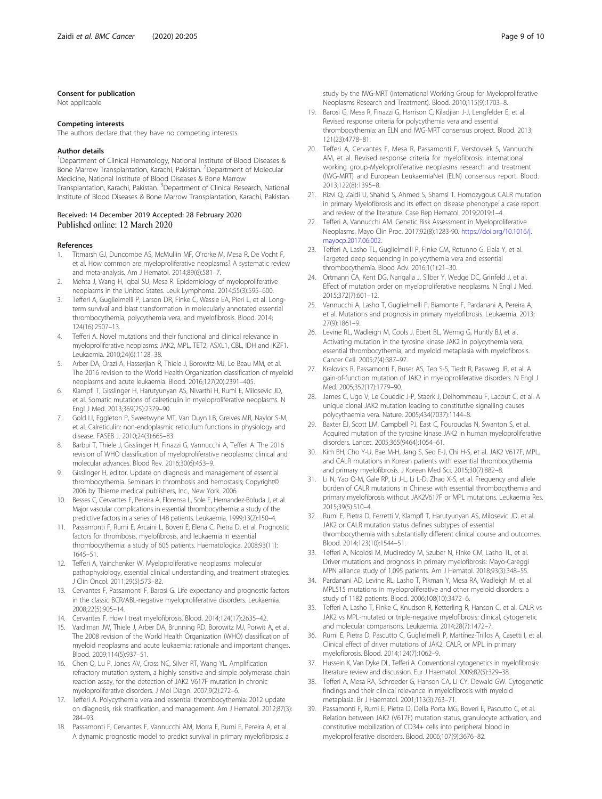#### <span id="page-8-0"></span>Consent for publication

Not applicable

#### Competing interests

The authors declare that they have no competing interests.

#### Author details

<sup>1</sup>Department of Clinical Hematology, National Institute of Blood Diseases & Bone Marrow Transplantation, Karachi, Pakistan. <sup>2</sup>Department of Molecular Medicine, National Institute of Blood Diseases & Bone Marrow Transplantation, Karachi, Pakistan. <sup>3</sup>Department of Clinical Research, National Institute of Blood Diseases & Bone Marrow Transplantation, Karachi, Pakistan.

#### Received: 14 December 2019 Accepted: 28 February 2020 Published online: 12 March 2020

#### References

- Titmarsh GJ, Duncombe AS, McMullin MF, O'rorke M, Mesa R, De Vocht F, et al. How common are myeloproliferative neoplasms? A systematic review and meta-analysis. Am J Hematol. 2014;89(6):581–7.
- 2. Mehta J, Wang H, Iqbal SU, Mesa R. Epidemiology of myeloproliferative neoplasms in the United States. Leuk Lymphoma. 2014;55(3):595–600.
- 3. Tefferi A, Guglielmelli P, Larson DR, Finke C, Wassie EA, Pieri L, et al. Longterm survival and blast transformation in molecularly annotated essential thrombocythemia, polycythemia vera, and myelofibrosis. Blood. 2014; 124(16):2507–13.
- 4. Tefferi A. Novel mutations and their functional and clinical relevance in myeloproliferative neoplasms: JAK2, MPL, TET2, ASXL1, CBL, IDH and IKZF1. Leukaemia. 2010;24(6):1128–38.
- 5. Arber DA, Orazi A, Hasserjian R, Thiele J, Borowitz MJ, Le Beau MM, et al. The 2016 revision to the World Health Organization classification of myeloid neoplasms and acute leukaemia. Blood. 2016;127(20):2391–405.
- 6. Klampfl T, Gisslinger H, Harutyunyan AS, Nivarthi H, Rumi E, Milosevic JD, et al. Somatic mutations of calreticulin in myeloproliferative neoplasms. N Engl J Med. 2013;369(25):2379–90.
- 7. Gold LI, Eggleton P, Sweetwyne MT, Van Duyn LB, Greives MR, Naylor S-M, et al. Calreticulin: non-endoplasmic reticulum functions in physiology and disease. FASEB J. 2010;24(3):665–83.
- 8. Barbui T, Thiele J, Gisslinger H, Finazzi G, Vannucchi A, Tefferi A. The 2016 revision of WHO classification of myeloproliferative neoplasms: clinical and molecular advances. Blood Rev. 2016;30(6):453–9.
- 9. Gisslinger H, editor. Update on diagnosis and management of essential thrombocythemia. Seminars in thrombosis and hemostasis; Copyright© 2006 by Thieme medical publishers, Inc., New York. 2006.
- 10. Besses C, Cervantes F, Pereira A, Florensa L, Sole F, Hernandez-Boluda J, et al. Major vascular complications in essential thrombocythemia: a study of the predictive factors in a series of 148 patients. Leukaemia. 1999;13(2):150–4.
- 11. Passamonti F, Rumi E, Arcaini L, Boveri E, Elena C, Pietra D, et al. Prognostic factors for thrombosis, myelofibrosis, and leukaemia in essential thrombocythemia: a study of 605 patients. Haematologica. 2008;93(11): 1645–51.
- 12. Tefferi A, Vainchenker W. Myeloproliferative neoplasms: molecular pathophysiology, essential clinical understanding, and treatment strategies. J Clin Oncol. 2011;29(5):573–82.
- 13. Cervantes F, Passamonti F, Barosi G. Life expectancy and prognostic factors in the classic BCR/ABL-negative myeloproliferative disorders. Leukaemia. 2008;22(5):905–14.
- 14. Cervantes F. How I treat myelofibrosis. Blood. 2014;124(17):2635–42.
- 15. Vardiman JW, Thiele J, Arber DA, Brunning RD, Borowitz MJ, Porwit A, et al. The 2008 revision of the World Health Organization (WHO) classification of myeloid neoplasms and acute leukaemia: rationale and important changes. Blood. 2009;114(5):937–51.
- 16. Chen Q, Lu P, Jones AV, Cross NC, Silver RT, Wang YL. Amplification refractory mutation system, a highly sensitive and simple polymerase chain reaction assay, for the detection of JAK2 V617F mutation in chronic myeloproliferative disorders. J Mol Diagn. 2007;9(2):272–6.
- 17. Tefferi A. Polycythemia vera and essential thrombocythemia: 2012 update on diagnosis, risk stratification, and management. Am J Hematol. 2012;87(3): 284–93.
- 18. Passamonti F, Cervantes F, Vannucchi AM, Morra E, Rumi E, Pereira A, et al. A dynamic prognostic model to predict survival in primary myelofibrosis: a

study by the IWG-MRT (International Working Group for Myeloproliferative Neoplasms Research and Treatment). Blood. 2010;115(9):1703–8.

- 19. Barosi G, Mesa R, Finazzi G, Harrison C, Kiladjian J-J, Lengfelder E, et al. Revised response criteria for polycythemia vera and essential thrombocythemia: an ELN and IWG-MRT consensus project. Blood. 2013; 121(23):4778–81.
- 20. Tefferi A, Cervantes F, Mesa R, Passamonti F, Verstovsek S, Vannucchi AM, et al. Revised response criteria for myelofibrosis: international working group-Myeloproliferative neoplasms research and treatment (IWG-MRT) and European LeukaemiaNet (ELN) consensus report. Blood. 2013;122(8):1395–8.
- 21. Rizvi O, Zaidi U, Shahid S, Ahmed S, Shamsi T, Homozygous CALR mutation in primary Myelofibrosis and its effect on disease phenotype: a case report and review of the literature. Case Rep Hematol. 2019;2019:1–4.
- 22. Tefferi A, Vannucchi AM. Genetic Risk Assessment in Myeloproliferative Neoplasms. Mayo Clin Proc. 2017;92(8):1283-90. [https://doi.org/10.1016/j.](https://doi.org/10.1016/j.mayocp.2017.06.002) [mayocp.2017.06.002.](https://doi.org/10.1016/j.mayocp.2017.06.002)
- 23. Tefferi A, Lasho TL, Guglielmelli P, Finke CM, Rotunno G, Elala Y, et al. Targeted deep sequencing in polycythemia vera and essential thrombocythemia. Blood Adv. 2016;1(1):21–30.
- 24. Ortmann CA, Kent DG, Nangalia J, Silber Y, Wedge DC, Grinfeld J, et al. Effect of mutation order on myeloproliferative neoplasms. N Engl J Med. 2015;372(7):601–12.
- 25. Vannucchi A, Lasho T, Guglielmelli P, Biamonte F, Pardanani A, Pereira A, et al. Mutations and prognosis in primary myelofibrosis. Leukaemia. 2013; 27(9):1861–9.
- 26. Levine RL, Wadleigh M, Cools J, Ebert BL, Wernig G, Huntly BJ, et al. Activating mutation in the tyrosine kinase JAK2 in polycythemia vera, essential thrombocythemia, and myeloid metaplasia with myelofibrosis. Cancer Cell. 2005;7(4):387–97.
- 27. Kralovics R, Passamonti F, Buser AS, Teo S-S, Tiedt R, Passweg JR, et al. A gain-of-function mutation of JAK2 in myeloproliferative disorders. N Engl J Med. 2005;352(17):1779–90.
- 28. James C, Ugo V, Le Couédic J-P, Staerk J, Delhommeau F, Lacout C, et al. A unique clonal JAK2 mutation leading to constitutive signalling causes polycythaemia vera. Nature. 2005;434(7037):1144–8.
- 29. Baxter EJ, Scott LM, Campbell PJ, East C, Fourouclas N, Swanton S, et al. Acquired mutation of the tyrosine kinase JAK2 in human myeloproliferative disorders. Lancet. 2005;365(9464):1054–61.
- 30. Kim BH, Cho Y-U, Bae M-H, Jang S, Seo E-J, Chi H-S, et al. JAK2 V617F, MPL, and CALR mutations in Korean patients with essential thrombocythemia and primary myelofibrosis. J Korean Med Sci. 2015;30(7):882–8.
- 31. Li N, Yao Q-M, Gale RP, Li J-L, Li L-D, Zhao X-S, et al. Frequency and allele burden of CALR mutations in Chinese with essential thrombocythemia and primary myelofibrosis without JAK2V617F or MPL mutations. Leukaemia Res. 2015;39(5):510–4.
- 32. Rumi E, Pietra D, Ferretti V, Klampfl T, Harutyunyan AS, Milosevic JD, et al. JAK2 or CALR mutation status defines subtypes of essential thrombocythemia with substantially different clinical course and outcomes. Blood. 2014;123(10):1544–51.
- 33. Tefferi A, Nicolosi M, Mudireddy M, Szuber N, Finke CM, Lasho TL, et al. Driver mutations and prognosis in primary myelofibrosis: Mayo-Careggi MPN alliance study of 1,095 patients. Am J Hematol. 2018;93(3):348–55.
- 34. Pardanani AD, Levine RL, Lasho T, Pikman Y, Mesa RA, Wadleigh M, et al. MPL515 mutations in myeloproliferative and other myeloid disorders: a study of 1182 patients. Blood. 2006;108(10):3472–6.
- 35. Tefferi A, Lasho T, Finke C, Knudson R, Ketterling R, Hanson C, et al. CALR vs JAK2 vs MPL-mutated or triple-negative myelofibrosis: clinical, cytogenetic and molecular comparisons. Leukaemia. 2014;28(7):1472–7.
- 36. Rumi E, Pietra D, Pascutto C, Guglielmelli P, Martínez-Trillos A, Casetti I, et al. Clinical effect of driver mutations of JAK2, CALR, or MPL in primary myelofibrosis. Blood. 2014;124(7):1062–9.
- 37. Hussein K, Van Dyke DL, Tefferi A. Conventional cytogenetics in myelofibrosis: literature review and discussion. Eur J Haematol. 2009;82(5):329–38.
- Tefferi A, Mesa RA, Schroeder G, Hanson CA, Li CY, Dewald GW. Cytogenetic findings and their clinical relevance in myelofibrosis with myeloid metaplasia. Br J Haematol. 2001;113(3):763–71.
- 39. Passamonti F, Rumi E, Pietra D, Della Porta MG, Boveri E, Pascutto C, et al. Relation between JAK2 (V617F) mutation status, granulocyte activation, and constitutive mobilization of CD34+ cells into peripheral blood in myeloproliferative disorders. Blood. 2006;107(9):3676–82.